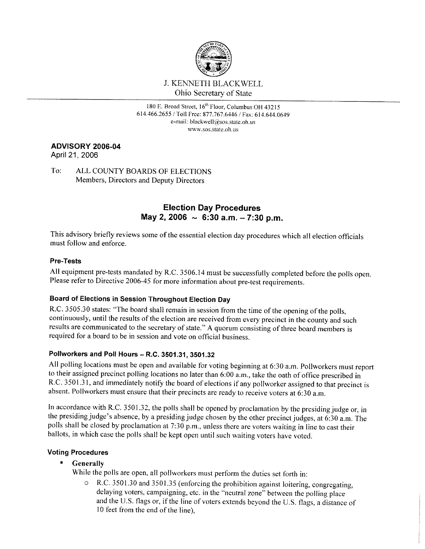

**180 E. Broad Street. ] 6th Floor. Columbus OH 43215**  614.466.2655 / Toll Free: 877.767.6446 *I* Fax: 614.644.0649 **e-mail: black\vell@sos.state.oh.us www.sos.statc.oh.us** 

## **ADVISORY 2006-04**

April 21, 2006

To: ALL COUNTY BOARDS OF ELECTIONS Members, Directors and Deputy Directors

# **Election Day Procedures May 2, 2006 ~ 6:30 a.m. - 7:30 p.m.**

This advisory briefly reviews some of the essential election day procedures which all election officials must follow and enforce.

### **Pre-Tests**

All equipment pre-tests mandated by R.C. 3506.14 must be successfully completed before the polls open. Please refer to Directive 2006-45 for more information about pre-test requirements.

# **Board of Elections in Session Throughout Election Day**

R.C. 3505.30 states: "The board shall remain in session from the time of the opening of the polls, continuously, until the results of the election are received from every precinct in the county and such results are communicated to the secretary of state." A quorum consisting of three board members is required for a board to be in session and vote on official business.

## **Pollworkers and Poll Hours - R.C. 3501.31, 3501.32**

All polling locations must be open and available for voting beginning at 6:30 a.m. Pollworkers must report to their assigned precinct polling locations no later than 6:00 a.m., take the oath of office prescribed in R.C. 3501.31, and immediately notify the board of elections if any pollworker assigned to that precinct is absent. Pollworkers must ensure that their precincts are ready to receive voters at  $6:30$  a.m.

In accordance with R.C. 3501.32, the polls shall be opened by proclamation by the presiding judge or, in the presiding judge's absence, by a presiding judge chosen by the other precinct judges, at 6:30 a.m. The polls shall be closed by proclamation at 7:30 p.m., unless there are voters waiting in line to cast their ballots, in which case the polls shall be kept open until such waiting voters have voted.

## **Voting Procedures**

• **Generally** 

While the polls are open, all pollworkers must perform the duties set forth in:

o R.C. 3501.30 and 3501.35 (enforcing the prohibition against loitering, congregating, delaying voters, campaigning, etc. in the "neutral zone" between the polling place and the U.S. flags or, if the line of voters extends beyond the U.S. flags, a distance of 10 feet from the end of the line),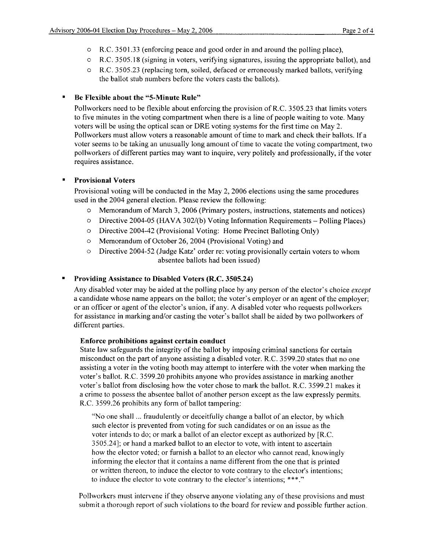- o R.C. 3501.33 (enforcing peace and good order in and around the polling place),
- o R.C. 3505.18 (signing in voters, verifying signatures, issuing the appropriate ballot), and
- o R.C. 3505.23 (replacing torn, soiled, defaced or erroneously marked ballots, verifying the ballot stub numbers before the voters casts the ballots).

## • **Be Flexible about the "5-Minute Rule"**

Pollworkers need to be flexible about enforcing the provision ofR.C. 3505.23 that limits voters to five minutes in the voting compartment when there is a line of people waiting to vote. Many voters will be using the optical scan or DRE voting systems for the first time on May 2. Pollworkers must allow voters a reasonable amount of time to mark and check their ballots. If a voter seems to be taking an unusually long amount of time to vacate the voting compartment, two pollworkers of different parties may want to inquire, very politely and professionally, if the voter requires assistance.

### • **Provisional Voters**

Provisional voting will be conducted in the May 2, 2006 elections using the same procedures used in the 2004 general election. Please review the following:

- o Memorandum of March 3, 2006 (Primary posters, instructions, statements and notices)
- $\circ$  Directive 2004-05 (HAVA 302/(b) Voting Information Requirements Polling Places)
- o Directive 2004-42 (Provisional Voting: Home Precinct Balloting Only)
- o Memorandum of October 26, 2004 (Provisional Voting) and
- o Directive 2004-52 (Judge Katz' order re: voting provisionally certain voters to whom absentee ballots had been issued)

## • **Providing Assistance to Disabled Voters (R.C. 3505.24)**

Any disabled voter may be aided at the polling place by any person of the elector's choice *except*  a candidate whose name appears on the ballot; the voter's employer or an agent of the employer; or an officer or agent of the elector's union, if any. A disabled voter who requests pollworkers for assistance in marking and/or casting the voter's ballot shall be aided by two pollworkers of different parties.

### **Enforce prohibitions against certain conduct**

State law safeguards the integrity of the ballot by imposing criminal sanctions for certain misconduct on the part of anyone assisting a disabled voter. R.C. 3599.20 states that no one assisting a voter in the voting booth may attempt to interfere with the voter when marking the voter's ballot. R.C. 3599.20 prohibits anyone who provides assistance in marking another voter's ballot from disclosing how the voter chose to mark the ballot. R.C. 3599.21 makes it a crime to possess the absentee ballot of another person except as the law expressly permits. R.C. 3599.26 prohibits any form of ballot tampering:

"No one shall ... fraudulently or deceitfully change a ballot of an elector, by which such elector is prevented from voting for such candidates or on an issue as the voter intends to do; or mark a ballot of an elector except as authorized by [R.C. 3505.24); or hand a marked ballot to an elector to vote, with intent to ascertain how the elector voted; or furnish a ballot to an elector who cannot read, knowingly informing the elector that it contains a name different from the one that is printed or written thereon, to induce the elector to vote contrary to the elector's intentions; to induce the elector to vote contrary to the elector's intentions; \*\*\*."

Pollworkers must intervene if they observe anyone violating any of these provisions and must submit a thorough report of such violations to the board for review and possible further action.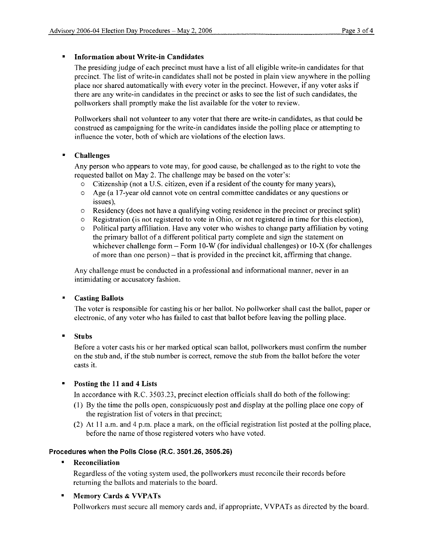#### • **Information about Write-in Candidates**

The presiding judge of each precinct must have a list of all eligible write-in candidates for that precinct. The list of write-in candidates shall not be posted in plain view anywhere in the polling place nor shared automatically with every voter in the precinct. However, if any voter asks if there are any write-in candidates in the precinct or asks to see the list of such candidates, the pollworkers shall promptly make the list available for the voter to review.

Pollworkers shall not volunteer to any voter that there are write-in candidates, as that could be construed as campaigning for the write-in candidates inside the polling place or attempting to influence the voter, both of which are violations of the election laws.

### • **Challenges**

Any person who appears to vote may, for good cause, be challenged as to the right to vote the requested ballot on May 2. The challenge may be based on the voter's:

- o Citizenship (not a U.S. citizen, even if a resident of the county for many years),
- o Age (a 17-year old cannot vote on central committee candidates or any questions or issues),
- $\circ$  Residency (does not have a qualifying voting residence in the precinct or precinct split)
- $\circ$  Registration (is not registered to vote in Ohio, or not registered in time for this election),
- o Political party affiliation. Have any voter who wishes to change party affiliation by voting the primary ballot of a different political party complete and sign the statement on whichever challenge form - Form 10-W (for individual challenges) or 10-X (for challenges of more than one person) – that is provided in the precinct kit, affirming that change.

Any challenge must be conducted in a professional and informational manner, never in an intimidating or accusatory fashion.

#### • **Casting Ballots**

The voter is responsible for casting his or her ballot. No pollworker shall cast the ballot, paper or electronic, of any voter who has failed to cast that ballot before leaving the polling place.

• **Stubs** 

Before a voter casts his or her marked optical scan ballot, pollworkers must confirm the number on the stub and, if the stub number is correct, remove the stub from the ballot before the voter casts it.

### • **Posting the 11 and 4 Lists**

In accordance with R.C. 3503.23, precinct election officials shall do both of the following:

- (1) By the time the polls open, conspicuously post and display at the polling place one copy of the registration list of voters in that precinct;
- (2) At 11 a.m. and 4 p.m. place a mark, on the official registration list posted at the polling place, before the name of those registered voters who have voted.

#### **Procedures when the Polls Close (R.C. 3501.26, 3505,26)**

• **Reconciliation** 

Regardless of the voting system used, the pollworkers must reconcile their records before returning the ballots and materials to the board.

### • **Memory Cards & VVPATs**

Pollworkers must secure all memory cards and, if appropriate, VVPATs as directed by the board.